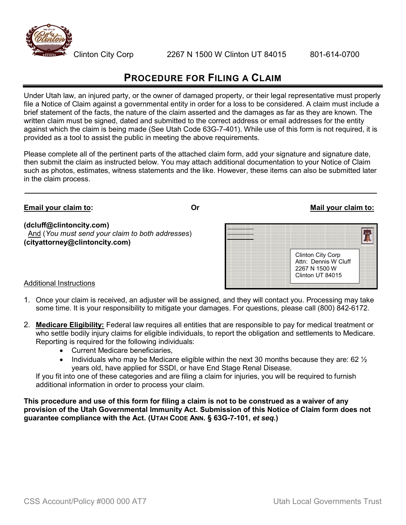

## PROCEDURE FOR FILING A CLAIM

Under Utah law, an injured party, or the owner of damaged property, or their legal representative must properly file a Notice of Claim against a governmental entity in order for a loss to be considered. A claim must include a brief statement of the facts, the nature of the claim asserted and the damages as far as they are known. The written claim must be signed, dated and submitted to the correct address or email addresses for the entity against which the claim is being made (See Utah Code 63G-7-401). While use of this form is not required, it is provided as a tool to assist the public in meeting the above requirements.

Please complete all of the pertinent parts of the attached claim form, add your signature and signature date, then submit the claim as instructed below. You may attach additional documentation to your Notice of Claim such as photos, estimates, witness statements and the like. However, these items can also be submitted later in the claim process.

## Clinton City Corp Attn: Dennis W Cluff 2267 N 1500 W Clinton UT 84015 Email your claim to: **Or** Or Mail your claim to: Additional Instructions (dcluff@clintoncity.com) And (You must send your claim to both addresses) (cityattorney@clintoncity.com)

- 1. Once your claim is received, an adjuster will be assigned, and they will contact you. Processing may take some time. It is your responsibility to mitigate your damages. For questions, please call (800) 842-6172.
- 2. Medicare Eligibility: Federal law requires all entities that are responsible to pay for medical treatment or who settle bodily injury claims for eligible individuals, to report the obligation and settlements to Medicare. Reporting is required for the following individuals:
	- Current Medicare beneficiaries,
	- Individuals who may be Medicare eligible within the next 30 months because they are:  $62\frac{1}{2}$ years old, have applied for SSDI, or have End Stage Renal Disease.

If you fit into one of these categories and are filing a claim for injuries, you will be required to furnish additional information in order to process your claim.

This procedure and use of this form for filing a claim is not to be construed as a waiver of any provision of the Utah Governmental Immunity Act. Submission of this Notice of Claim form does not guarantee compliance with the Act. (UTAH CODE ANN. § 63G-7-101, et seq.)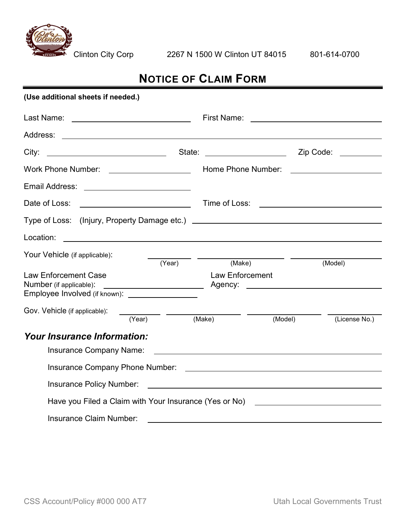

Clinton City Corp 2267 N 1500 W Clinton UT 84015 801-614-0700

## NOTICE OF CLAIM FORM

| (Use additional sheets if needed.)                                                                                                                                                                                                                         |                                                                                                                                                                                                                                |                                                                                                                      |
|------------------------------------------------------------------------------------------------------------------------------------------------------------------------------------------------------------------------------------------------------------|--------------------------------------------------------------------------------------------------------------------------------------------------------------------------------------------------------------------------------|----------------------------------------------------------------------------------------------------------------------|
| Last Name: <u>New York Name</u>                                                                                                                                                                                                                            | First Name: <u>_________________________</u>                                                                                                                                                                                   |                                                                                                                      |
|                                                                                                                                                                                                                                                            |                                                                                                                                                                                                                                |                                                                                                                      |
| <u> 1989 - Johann Barbara, martin a</u><br>City:                                                                                                                                                                                                           | State: The State of the State of the State of the State of the State of the State of the State of the State of the State of the State of the State of the State of the State of the State of the State of the State of the Sta | Zip Code: <u>_________</u>                                                                                           |
|                                                                                                                                                                                                                                                            | Home Phone Number:                                                                                                                                                                                                             | <u> 1980 - Andrea Station Barbara, politik eta provincia eta provincia eta provincia eta provincia eta provincia</u> |
| Email Address: _____________________________                                                                                                                                                                                                               |                                                                                                                                                                                                                                |                                                                                                                      |
| <b>Example 2018</b> Time of Loss: <u>Contract Community Contract Contract Contract Contract Contract Contract Contract Contract Contract Contract Contract Contract Contract Contract Contract Contract Contract Contract Contract Co</u><br>Date of Loss: |                                                                                                                                                                                                                                |                                                                                                                      |
| Type of Loss: (Injury, Property Damage etc.) ___________________________________                                                                                                                                                                           |                                                                                                                                                                                                                                |                                                                                                                      |
| Location:                                                                                                                                                                                                                                                  |                                                                                                                                                                                                                                |                                                                                                                      |
| Your Vehicle (if applicable):<br>(Year)                                                                                                                                                                                                                    | (Make)                                                                                                                                                                                                                         | (Model)                                                                                                              |
| <b>Law Enforcement Case</b><br>Number (if applicable):                                                                                                                                                                                                     | <b>Law Enforcement</b>                                                                                                                                                                                                         |                                                                                                                      |
| Gov. Vehicle (if applicable):<br>$\overline{(Year)}$ (Mak                                                                                                                                                                                                  | (Make)<br>(Model)                                                                                                                                                                                                              | (License No.)                                                                                                        |
| <b>Your Insurance Information:</b>                                                                                                                                                                                                                         |                                                                                                                                                                                                                                |                                                                                                                      |
| <b>Insurance Company Name:</b>                                                                                                                                                                                                                             | <u> 1989 - Johann John Stein, markin film yn y brening yn y brening y brening yn y brening y brening yn y brenin</u>                                                                                                           |                                                                                                                      |
| Insurance Company Phone Number: National Company of the United States of the United States of the United States                                                                                                                                            |                                                                                                                                                                                                                                |                                                                                                                      |
| <b>Insurance Policy Number:</b>                                                                                                                                                                                                                            | <u> 1989 - Johann Barbara, martin amerikan basal dan berasal dan berasal dalam basal dan berasal dan berasal dan</u>                                                                                                           |                                                                                                                      |
| Have you Filed a Claim with Your Insurance (Yes or No) _________________________                                                                                                                                                                           |                                                                                                                                                                                                                                |                                                                                                                      |
| Insurance Claim Number:                                                                                                                                                                                                                                    |                                                                                                                                                                                                                                |                                                                                                                      |